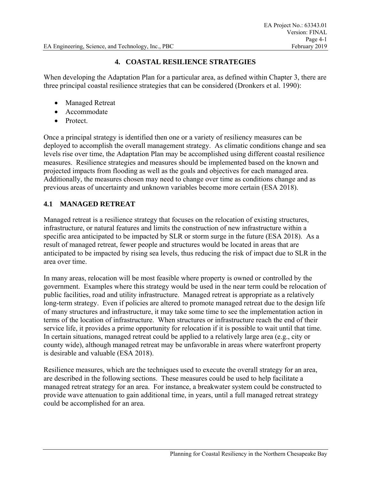#### **4. COASTAL RESILIENCE STRATEGIES**

When developing the Adaptation Plan for a particular area, as defined within Chapter 3, there are three principal coastal resilience strategies that can be considered (Dronkers et al. 1990):

- Managed Retreat
- Accommodate
- Protect.

Once a principal strategy is identified then one or a variety of resiliency measures can be deployed to accomplish the overall management strategy. As climatic conditions change and sea levels rise over time, the Adaptation Plan may be accomplished using different coastal resilience measures. Resilience strategies and measures should be implemented based on the known and projected impacts from flooding as well as the goals and objectives for each managed area. Additionally, the measures chosen may need to change over time as conditions change and as previous areas of uncertainty and unknown variables become more certain (ESA 2018).

#### **4.1 MANAGED RETREAT**

Managed retreat is a resilience strategy that focuses on the relocation of existing structures, infrastructure, or natural features and limits the construction of new infrastructure within a specific area anticipated to be impacted by SLR or storm surge in the future (ESA 2018). As a result of managed retreat, fewer people and structures would be located in areas that are anticipated to be impacted by rising sea levels, thus reducing the risk of impact due to SLR in the area over time.

In many areas, relocation will be most feasible where property is owned or controlled by the government. Examples where this strategy would be used in the near term could be relocation of public facilities, road and utility infrastructure. Managed retreat is appropriate as a relatively long-term strategy. Even if policies are altered to promote managed retreat due to the design life of many structures and infrastructure, it may take some time to see the implementation action in terms of the location of infrastructure. When structures or infrastructure reach the end of their service life, it provides a prime opportunity for relocation if it is possible to wait until that time. In certain situations, managed retreat could be applied to a relatively large area (e.g., city or county wide), although managed retreat may be unfavorable in areas where waterfront property is desirable and valuable (ESA 2018).

Resilience measures, which are the techniques used to execute the overall strategy for an area, are described in the following sections. These measures could be used to help facilitate a managed retreat strategy for an area. For instance, a breakwater system could be constructed to provide wave attenuation to gain additional time, in years, until a full managed retreat strategy could be accomplished for an area.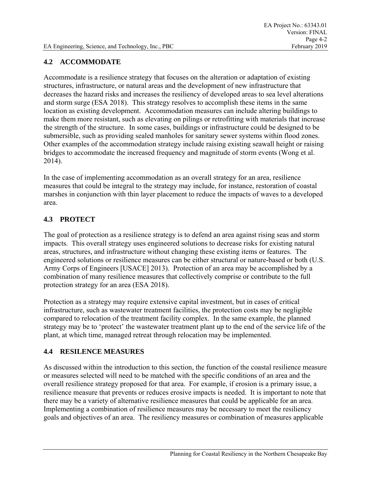## **4.2 ACCOMMODATE**

Accommodate is a resilience strategy that focuses on the alteration or adaptation of existing structures, infrastructure, or natural areas and the development of new infrastructure that decreases the hazard risks and increases the resiliency of developed areas to sea level alterations and storm surge (ESA 2018). This strategy resolves to accomplish these items in the same location as existing development. Accommodation measures can include altering buildings to make them more resistant, such as elevating on pilings or retrofitting with materials that increase the strength of the structure. In some cases, buildings or infrastructure could be designed to be submersible, such as providing sealed manholes for sanitary sewer systems within flood zones. Other examples of the accommodation strategy include raising existing seawall height or raising bridges to accommodate the increased frequency and magnitude of storm events (Wong et al. 2014).

In the case of implementing accommodation as an overall strategy for an area, resilience measures that could be integral to the strategy may include, for instance, restoration of coastal marshes in conjunction with thin layer placement to reduce the impacts of waves to a developed area.

# **4.3 PROTECT**

The goal of protection as a resilience strategy is to defend an area against rising seas and storm impacts. This overall strategy uses engineered solutions to decrease risks for existing natural areas, structures, and infrastructure without changing these existing items or features. The engineered solutions or resilience measures can be either structural or nature-based or both (U.S. Army Corps of Engineers [USACE] 2013). Protection of an area may be accomplished by a combination of many resilience measures that collectively comprise or contribute to the full protection strategy for an area (ESA 2018).

Protection as a strategy may require extensive capital investment, but in cases of critical infrastructure, such as wastewater treatment facilities, the protection costs may be negligible compared to relocation of the treatment facility complex. In the same example, the planned strategy may be to 'protect' the wastewater treatment plant up to the end of the service life of the plant, at which time, managed retreat through relocation may be implemented.

## **4.4 RESILENCE MEASURES**

As discussed within the introduction to this section, the function of the coastal resilience measure or measures selected will need to be matched with the specific conditions of an area and the overall resilience strategy proposed for that area. For example, if erosion is a primary issue, a resilience measure that prevents or reduces erosive impacts is needed. It is important to note that there may be a variety of alternative resilience measures that could be applicable for an area. Implementing a combination of resilience measures may be necessary to meet the resiliency goals and objectives of an area. The resiliency measures or combination of measures applicable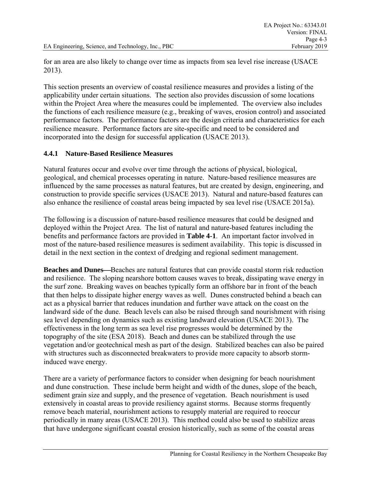for an area are also likely to change over time as impacts from sea level rise increase (USACE 2013).

This section presents an overview of coastal resilience measures and provides a listing of the applicability under certain situations. The section also provides discussion of some locations within the Project Area where the measures could be implemented. The overview also includes the functions of each resilience measure (e.g., breaking of waves, erosion control) and associated performance factors. The performance factors are the design criteria and characteristics for each resilience measure. Performance factors are site-specific and need to be considered and incorporated into the design for successful application (USACE 2013).

## **4.4.1 Nature-Based Resilience Measures**

Natural features occur and evolve over time through the actions of physical, biological, geological, and chemical processes operating in nature. Nature-based resilience measures are influenced by the same processes as natural features, but are created by design, engineering, and construction to provide specific services (USACE 2013). Natural and nature-based features can also enhance the resilience of coastal areas being impacted by sea level rise (USACE 2015a).

The following is a discussion of nature-based resilience measures that could be designed and deployed within the Project Area. The list of natural and nature-based features including the benefits and performance factors are provided in **Table 4-1**. An important factor involved in most of the nature-based resilience measures is sediment availability. This topic is discussed in detail in the next section in the context of dredging and regional sediment management.

**Beaches and Dunes—Beaches are natural features that can provide coastal storm risk reduction** and resilience. The sloping nearshore bottom causes waves to break, dissipating wave energy in the surf zone. Breaking waves on beaches typically form an offshore bar in front of the beach that then helps to dissipate higher energy waves as well. Dunes constructed behind a beach can act as a physical barrier that reduces inundation and further wave attack on the coast on the landward side of the dune. Beach levels can also be raised through sand nourishment with rising sea level depending on dynamics such as existing landward elevation (USACE 2013). The effectiveness in the long term as sea level rise progresses would be determined by the topography of the site (ESA 2018). Beach and dunes can be stabilized through the use vegetation and/or geotechnical mesh as part of the design. Stabilized beaches can also be paired with structures such as disconnected breakwaters to provide more capacity to absorb storminduced wave energy.

There are a variety of performance factors to consider when designing for beach nourishment and dune construction. These include berm height and width of the dunes, slope of the beach, sediment grain size and supply, and the presence of vegetation. Beach nourishment is used extensively in coastal areas to provide resiliency against storms. Because storms frequently remove beach material, nourishment actions to resupply material are required to reoccur periodically in many areas (USACE 2013). This method could also be used to stabilize areas that have undergone significant coastal erosion historically, such as some of the coastal areas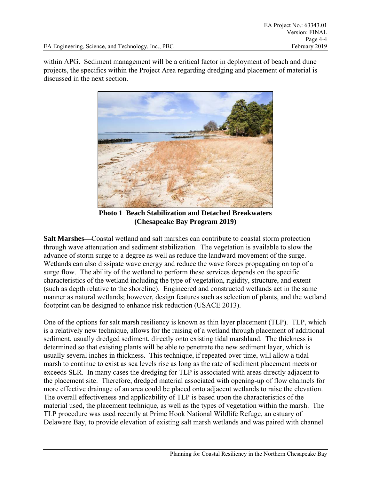within APG. Sediment management will be a critical factor in deployment of beach and dune projects, the specifics within the Project Area regarding dredging and placement of material is discussed in the next section.



**Photo 1 Beach Stabilization and Detached Breakwaters (Chesapeake Bay Program 2019)** 

**Salt Marshes—Coastal wetland and salt marshes can contribute to coastal storm protection** through wave attenuation and sediment stabilization. The vegetation is available to slow the advance of storm surge to a degree as well as reduce the landward movement of the surge. Wetlands can also dissipate wave energy and reduce the wave forces propagating on top of a surge flow. The ability of the wetland to perform these services depends on the specific characteristics of the wetland including the type of vegetation, rigidity, structure, and extent (such as depth relative to the shoreline). Engineered and constructed wetlands act in the same manner as natural wetlands; however, design features such as selection of plants, and the wetland footprint can be designed to enhance risk reduction (USACE 2013).

One of the options for salt marsh resiliency is known as thin layer placement (TLP). TLP, which is a relatively new technique, allows for the raising of a wetland through placement of additional sediment, usually dredged sediment, directly onto existing tidal marshland. The thickness is determined so that existing plants will be able to penetrate the new sediment layer, which is usually several inches in thickness. This technique, if repeated over time, will allow a tidal marsh to continue to exist as sea levels rise as long as the rate of sediment placement meets or exceeds SLR. In many cases the dredging for TLP is associated with areas directly adjacent to the placement site. Therefore, dredged material associated with opening-up of flow channels for more effective drainage of an area could be placed onto adjacent wetlands to raise the elevation. The overall effectiveness and applicability of TLP is based upon the characteristics of the material used, the placement technique, as well as the types of vegetation within the marsh. The TLP procedure was used recently at Prime Hook National Wildlife Refuge, an estuary of Delaware Bay, to provide elevation of existing salt marsh wetlands and was paired with channel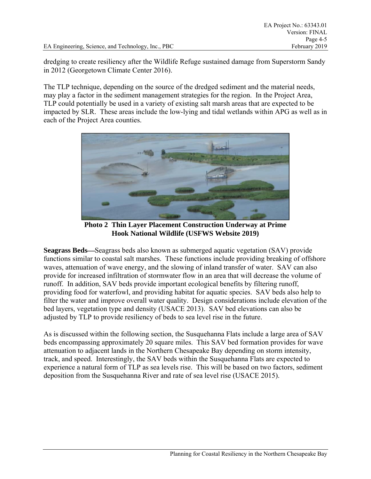dredging to create resiliency after the Wildlife Refuge sustained damage from Superstorm Sandy in 2012 (Georgetown Climate Center 2016).

The TLP technique, depending on the source of the dredged sediment and the material needs, may play a factor in the sediment management strategies for the region. In the Project Area, TLP could potentially be used in a variety of existing salt marsh areas that are expected to be impacted by SLR. These areas include the low-lying and tidal wetlands within APG as well as in each of the Project Area counties.



**Photo 2 Thin Layer Placement Construction Underway at Prime Hook National Wildlife (USFWS Website 2019)** 

**Seagrass Beds—Seagrass beds also known as submerged aquatic vegetation (SAV) provide** functions similar to coastal salt marshes. These functions include providing breaking of offshore waves, attenuation of wave energy, and the slowing of inland transfer of water. SAV can also provide for increased infiltration of stormwater flow in an area that will decrease the volume of runoff. In addition, SAV beds provide important ecological benefits by filtering runoff, providing food for waterfowl, and providing habitat for aquatic species. SAV beds also help to filter the water and improve overall water quality. Design considerations include elevation of the bed layers, vegetation type and density (USACE 2013). SAV bed elevations can also be adjusted by TLP to provide resiliency of beds to sea level rise in the future.

As is discussed within the following section, the Susquehanna Flats include a large area of SAV beds encompassing approximately 20 square miles. This SAV bed formation provides for wave attenuation to adjacent lands in the Northern Chesapeake Bay depending on storm intensity, track, and speed. Interestingly, the SAV beds within the Susquehanna Flats are expected to experience a natural form of TLP as sea levels rise. This will be based on two factors, sediment deposition from the Susquehanna River and rate of sea level rise (USACE 2015).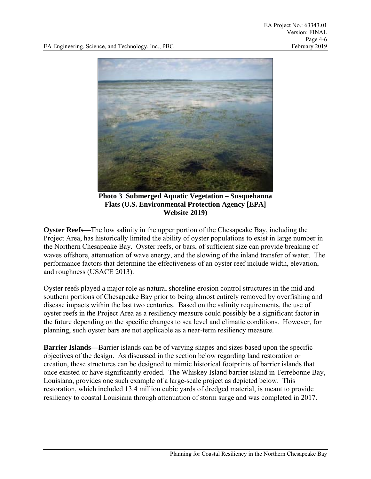

**Photo 3 Submerged Aquatic Vegetation – Susquehanna Flats (U.S. Environmental Protection Agency [EPA] Website 2019)** 

**Oyster Reefs—The low salinity in the upper portion of the Chesapeake Bay, including the** Project Area, has historically limited the ability of oyster populations to exist in large number in the Northern Chesapeake Bay. Oyster reefs, or bars, of sufficient size can provide breaking of waves offshore, attenuation of wave energy, and the slowing of the inland transfer of water. The performance factors that determine the effectiveness of an oyster reef include width, elevation, and roughness (USACE 2013).

Oyster reefs played a major role as natural shoreline erosion control structures in the mid and southern portions of Chesapeake Bay prior to being almost entirely removed by overfishing and disease impacts within the last two centuries. Based on the salinity requirements, the use of oyster reefs in the Project Area as a resiliency measure could possibly be a significant factor in the future depending on the specific changes to sea level and climatic conditions. However, for planning, such oyster bars are not applicable as a near-term resiliency measure.

**Barrier Islands—Barrier islands can be of varying shapes and sizes based upon the specific** objectives of the design. As discussed in the section below regarding land restoration or creation, these structures can be designed to mimic historical footprints of barrier islands that once existed or have significantly eroded. The Whiskey Island barrier island in Terrebonne Bay, Louisiana, provides one such example of a large-scale project as depicted below. This restoration, which included 13.4 million cubic yards of dredged material, is meant to provide resiliency to coastal Louisiana through attenuation of storm surge and was completed in 2017.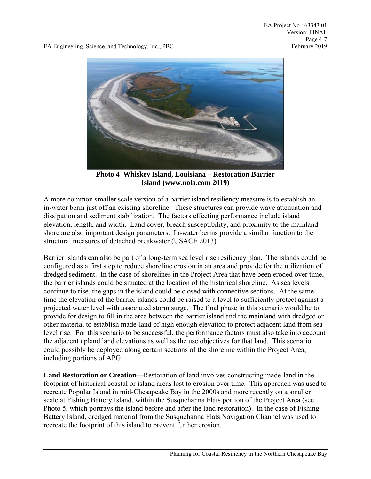

**Photo 4 Whiskey Island, Louisiana – Restoration Barrier Island (www.nola.com 2019)** 

A more common smaller scale version of a barrier island resiliency measure is to establish an in-water berm just off an existing shoreline. These structures can provide wave attenuation and dissipation and sediment stabilization. The factors effecting performance include island elevation, length, and width. Land cover, breach susceptibility, and proximity to the mainland shore are also important design parameters. In-water berms provide a similar function to the structural measures of detached breakwater (USACE 2013).

Barrier islands can also be part of a long-term sea level rise resiliency plan. The islands could be configured as a first step to reduce shoreline erosion in an area and provide for the utilization of dredged sediment. In the case of shorelines in the Project Area that have been eroded over time, the barrier islands could be situated at the location of the historical shoreline. As sea levels continue to rise, the gaps in the island could be closed with connective sections. At the same time the elevation of the barrier islands could be raised to a level to sufficiently protect against a projected water level with associated storm surge. The final phase in this scenario would be to provide for design to fill in the area between the barrier island and the mainland with dredged or other material to establish made-land of high enough elevation to protect adjacent land from sea level rise. For this scenario to be successful, the performance factors must also take into account the adjacent upland land elevations as well as the use objectives for that land. This scenario could possibly be deployed along certain sections of the shoreline within the Project Area, including portions of APG.

**Land Restoration or Creation—Restoration of land involves constructing made-land in the** footprint of historical coastal or island areas lost to erosion over time. This approach was used to recreate Popular Island in mid-Chesapeake Bay in the 2000s and more recently on a smaller scale at Fishing Battery Island, within the Susquehanna Flats portion of the Project Area (see Photo 5, which portrays the island before and after the land restoration). In the case of Fishing Battery Island, dredged material from the Susquehanna Flats Navigation Channel was used to recreate the footprint of this island to prevent further erosion.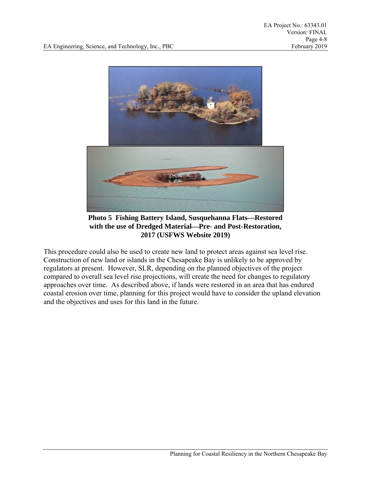

**Photo 5 Fishing Battery Island, Susquehanna Flats—Restored with the use of Dredged MaterialPre- and Post-Restoration, 2017 (USFWS Website 2019)** 

This procedure could also be used to create new land to protect areas against sea level rise. Construction of new land or islands in the Chesapeake Bay is unlikely to be approved by regulators at present. However, SLR, depending on the planned objectives of the project compared to overall sea level rise projections, will create the need for changes to regulatory approaches over time. As described above, if lands were restored in an area that has endured coastal erosion over time, planning for this project would have to consider the upland elevation and the objectives and uses for this land in the future.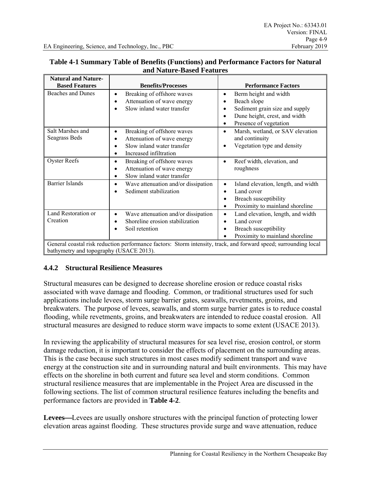| <b>Natural and Nature-</b>                                                                                                                                  |                                                                                                                                                      |                                                                                                                                                |  |  |
|-------------------------------------------------------------------------------------------------------------------------------------------------------------|------------------------------------------------------------------------------------------------------------------------------------------------------|------------------------------------------------------------------------------------------------------------------------------------------------|--|--|
| <b>Based Features</b>                                                                                                                                       | <b>Benefits/Processes</b>                                                                                                                            | <b>Performance Factors</b>                                                                                                                     |  |  |
| <b>Beaches and Dunes</b>                                                                                                                                    | Breaking of offshore waves<br>Attenuation of wave energy<br>$\bullet$<br>Slow inland water transfer                                                  | Berm height and width<br>$\bullet$<br>Beach slope<br>Sediment grain size and supply<br>Dune height, crest, and width<br>Presence of vegetation |  |  |
| Salt Marshes and<br>Seagrass Beds                                                                                                                           | Breaking of offshore waves<br>$\bullet$<br>Attenuation of wave energy<br>٠<br>Slow inland water transfer<br>$\bullet$<br>Increased infiltration<br>٠ | Marsh, wetland, or SAV elevation<br>$\bullet$<br>and continuity<br>Vegetation type and density                                                 |  |  |
| <b>Oyster Reefs</b>                                                                                                                                         | Breaking of offshore waves<br>$\bullet$<br>Attenuation of wave energy<br>$\bullet$<br>Slow inland water transfer                                     | Reef width, elevation, and<br>$\bullet$<br>roughness                                                                                           |  |  |
| <b>Barrier Islands</b>                                                                                                                                      | Wave attenuation and/or dissipation<br>$\bullet$<br>Sediment stabilization                                                                           | Island elevation, length, and width<br>Land cover<br>Breach susceptibility<br>Proximity to mainland shoreline                                  |  |  |
| Land Restoration or<br>Creation                                                                                                                             | Wave attenuation and/or dissipation<br>٠<br>Shoreline erosion stabilization<br>$\bullet$<br>Soil retention                                           | Land elevation, length, and width<br>٠<br>Land cover<br>Breach susceptibility<br>Proximity to mainland shoreline                               |  |  |
| General coastal risk reduction performance factors: Storm intensity, track, and forward speed; surrounding local<br>bathymetry and topography (USACE 2013). |                                                                                                                                                      |                                                                                                                                                |  |  |

#### **Table 4-1 Summary Table of Benefits (Functions) and Performance Factors for Natural and Nature-Based Features**

## **4.4.2 Structural Resilience Measures**

Structural measures can be designed to decrease shoreline erosion or reduce coastal risks associated with wave damage and flooding. Common, or traditional structures used for such applications include levees, storm surge barrier gates, seawalls, revetments, groins, and breakwaters. The purpose of levees, seawalls, and storm surge barrier gates is to reduce coastal flooding, while revetments, groins, and breakwaters are intended to reduce coastal erosion. All structural measures are designed to reduce storm wave impacts to some extent (USACE 2013).

In reviewing the applicability of structural measures for sea level rise, erosion control, or storm damage reduction, it is important to consider the effects of placement on the surrounding areas. This is the case because such structures in most cases modify sediment transport and wave energy at the construction site and in surrounding natural and built environments. This may have effects on the shoreline in both current and future sea level and storm conditions. Common structural resilience measures that are implementable in the Project Area are discussed in the following sections. The list of common structural resilience features including the benefits and performance factors are provided in **Table 4-2**.

Levees—Levees are usually onshore structures with the principal function of protecting lower elevation areas against flooding. These structures provide surge and wave attenuation, reduce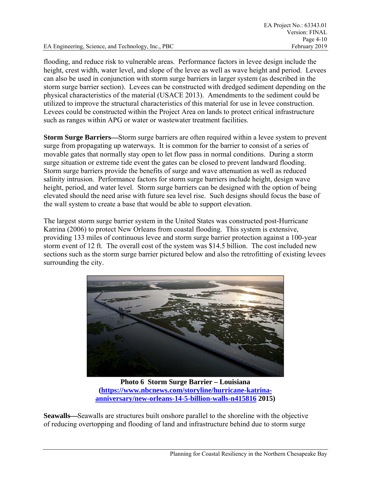flooding, and reduce risk to vulnerable areas. Performance factors in levee design include the height, crest width, water level, and slope of the levee as well as wave height and period. Levees can also be used in conjunction with storm surge barriers in larger system (as described in the storm surge barrier section). Levees can be constructed with dredged sediment depending on the physical characteristics of the material (USACE 2013). Amendments to the sediment could be utilized to improve the structural characteristics of this material for use in levee construction. Levees could be constructed within the Project Area on lands to protect critical infrastructure such as ranges within APG or water or wastewater treatment facilities.

**Storm Surge Barriers—Storm surge barriers are often required within a levee system to prevent** surge from propagating up waterways. It is common for the barrier to consist of a series of movable gates that normally stay open to let flow pass in normal conditions. During a storm surge situation or extreme tide event the gates can be closed to prevent landward flooding. Storm surge barriers provide the benefits of surge and wave attenuation as well as reduced salinity intrusion. Performance factors for storm surge barriers include height, design wave height, period, and water level. Storm surge barriers can be designed with the option of being elevated should the need arise with future sea level rise. Such designs should focus the base of the wall system to create a base that would be able to support elevation.

The largest storm surge barrier system in the United States was constructed post-Hurricane Katrina (2006) to protect New Orleans from coastal flooding. This system is extensive, providing 133 miles of continuous levee and storm surge barrier protection against a 100-year storm event of 12 ft. The overall cost of the system was \$14.5 billion. The cost included new sections such as the storm surge barrier pictured below and also the retrofitting of existing levees surrounding the city.



**Photo 6 Storm Surge Barrier – Louisiana (https://www.nbcnews.com/storyline/hurricane-katrinaanniversary/new-orleans-14-5-billion-walls-n415816 2015)** 

Seawalls—Seawalls are structures built onshore parallel to the shoreline with the objective of reducing overtopping and flooding of land and infrastructure behind due to storm surge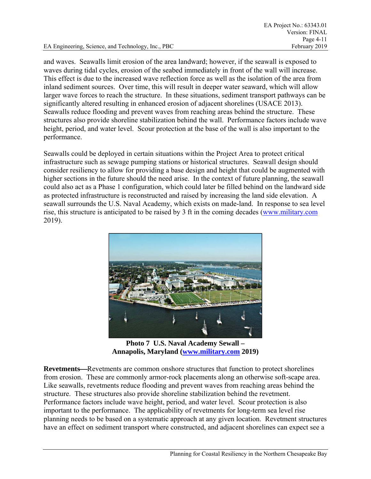and waves. Seawalls limit erosion of the area landward; however, if the seawall is exposed to waves during tidal cycles, erosion of the seabed immediately in front of the wall will increase. This effect is due to the increased wave reflection force as well as the isolation of the area from inland sediment sources. Over time, this will result in deeper water seaward, which will allow larger wave forces to reach the structure. In these situations, sediment transport pathways can be significantly altered resulting in enhanced erosion of adjacent shorelines (USACE 2013). Seawalls reduce flooding and prevent waves from reaching areas behind the structure. These structures also provide shoreline stabilization behind the wall. Performance factors include wave height, period, and water level. Scour protection at the base of the wall is also important to the performance.

Seawalls could be deployed in certain situations within the Project Area to protect critical infrastructure such as sewage pumping stations or historical structures. Seawall design should consider resiliency to allow for providing a base design and height that could be augmented with higher sections in the future should the need arise. In the context of future planning, the seawall could also act as a Phase 1 configuration, which could later be filled behind on the landward side as protected infrastructure is reconstructed and raised by increasing the land side elevation. A seawall surrounds the U.S. Naval Academy, which exists on made-land. In response to sea level rise, this structure is anticipated to be raised by 3 ft in the coming decades (www.military.com 2019).



**Photo 7 U.S. Naval Academy Sewall – Annapolis, Maryland (www.military.com 2019)** 

**Revetments**—Revetments are common onshore structures that function to protect shorelines from erosion. These are commonly armor-rock placements along an otherwise soft-scape area. Like seawalls, revetments reduce flooding and prevent waves from reaching areas behind the structure. These structures also provide shoreline stabilization behind the revetment. Performance factors include wave height, period, and water level. Scour protection is also important to the performance. The applicability of revetments for long-term sea level rise planning needs to be based on a systematic approach at any given location. Revetment structures have an effect on sediment transport where constructed, and adjacent shorelines can expect see a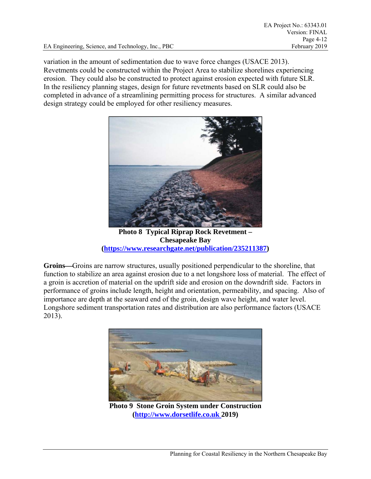variation in the amount of sedimentation due to wave force changes (USACE 2013). Revetments could be constructed within the Project Area to stabilize shorelines experiencing erosion. They could also be constructed to protect against erosion expected with future SLR. In the resiliency planning stages, design for future revetments based on SLR could also be completed in advance of a streamlining permitting process for structures. A similar advanced design strategy could be employed for other resiliency measures.



**Photo 8 Typical Riprap Rock Revetment – Chesapeake Bay (https://www.researchgate.net/publication/235211387)** 

Groins—Groins are narrow structures, usually positioned perpendicular to the shoreline, that function to stabilize an area against erosion due to a net longshore loss of material. The effect of a groin is accretion of material on the updrift side and erosion on the downdrift side. Factors in performance of groins include length, height and orientation, permeability, and spacing. Also of importance are depth at the seaward end of the groin, design wave height, and water level. Longshore sediment transportation rates and distribution are also performance factors (USACE 2013).



**Photo 9 Stone Groin System under Construction (http://www.dorsetlife.co.uk 2019)**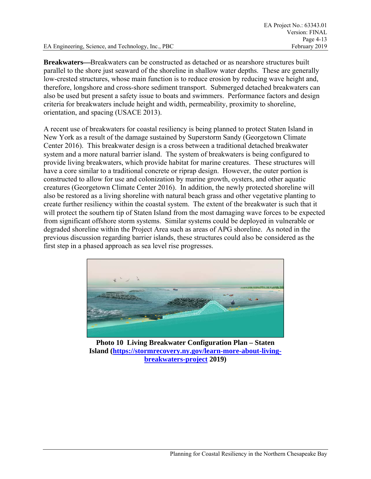**Breakwaters—Breakwaters can be constructed as detached or as nearshore structures built** parallel to the shore just seaward of the shoreline in shallow water depths. These are generally low-crested structures, whose main function is to reduce erosion by reducing wave height and, therefore, longshore and cross-shore sediment transport. Submerged detached breakwaters can also be used but present a safety issue to boats and swimmers. Performance factors and design criteria for breakwaters include height and width, permeability, proximity to shoreline, orientation, and spacing (USACE 2013).

A recent use of breakwaters for coastal resiliency is being planned to protect Staten Island in New York as a result of the damage sustained by Superstorm Sandy (Georgetown Climate Center 2016). This breakwater design is a cross between a traditional detached breakwater system and a more natural barrier island. The system of breakwaters is being configured to provide living breakwaters, which provide habitat for marine creatures. These structures will have a core similar to a traditional concrete or riprap design. However, the outer portion is constructed to allow for use and colonization by marine growth, oysters, and other aquatic creatures (Georgetown Climate Center 2016). In addition, the newly protected shoreline will also be restored as a living shoreline with natural beach grass and other vegetative planting to create further resiliency within the coastal system. The extent of the breakwater is such that it will protect the southern tip of Staten Island from the most damaging wave forces to be expected from significant offshore storm systems. Similar systems could be deployed in vulnerable or degraded shoreline within the Project Area such as areas of APG shoreline. As noted in the previous discussion regarding barrier islands, these structures could also be considered as the first step in a phased approach as sea level rise progresses.



**Photo 10 Living Breakwater Configuration Plan – Staten Island (https://stormrecovery.ny.gov/learn-more-about-livingbreakwaters-project 2019)**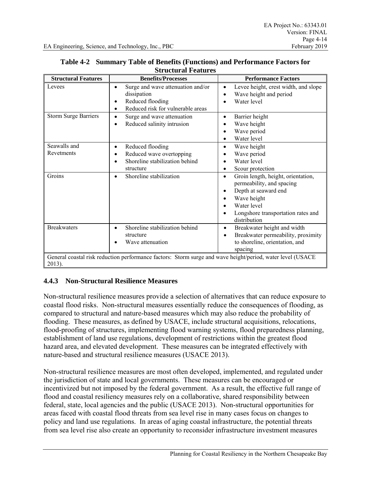| <b>Structural Features</b>                                                                                           | <b>Benefits/Processes</b>                                                                                                          | <b>Performance Factors</b>                                                                                                                                                            |  |
|----------------------------------------------------------------------------------------------------------------------|------------------------------------------------------------------------------------------------------------------------------------|---------------------------------------------------------------------------------------------------------------------------------------------------------------------------------------|--|
| Levees                                                                                                               | Surge and wave attenuation and/or<br>$\bullet$<br>dissipation<br>Reduced flooding<br>Reduced risk for vulnerable areas<br>٠        | Levee height, crest width, and slope<br>$\bullet$<br>Wave height and period<br>Water level                                                                                            |  |
| <b>Storm Surge Barriers</b>                                                                                          | Surge and wave attenuation<br>٠<br>Reduced salinity intrusion                                                                      | Barrier height<br>Wave height<br>Wave period<br>Water level                                                                                                                           |  |
| Seawalls and<br>Revetments                                                                                           | Reduced flooding<br>$\bullet$<br>Reduced wave overtopping<br>$\bullet$<br>Shoreline stabilization behind<br>$\bullet$<br>structure | Wave height<br>$\bullet$<br>Wave period<br>Water level<br>Scour protection                                                                                                            |  |
| Groins                                                                                                               | Shoreline stabilization<br>$\bullet$                                                                                               | Groin length, height, orientation,<br>permeability, and spacing<br>Depth at seaward end<br>٠<br>Wave height<br>٠<br>Water level<br>Longshore transportation rates and<br>distribution |  |
| <b>Breakwaters</b>                                                                                                   | Shoreline stabilization behind<br>$\bullet$<br>structure<br>Wave attenuation                                                       | Breakwater height and width<br>$\bullet$<br>Breakwater permeability, proximity<br>to shoreline, orientation, and<br>spacing                                                           |  |
| General coastal risk reduction performance factors: Storm surge and wave height/period, water level (USACE<br>2013). |                                                                                                                                    |                                                                                                                                                                                       |  |

#### **Table 4-2 Summary Table of Benefits (Functions) and Performance Factors for Structural Features**

## **4.4.3 Non-Structural Resilience Measures**

Non-structural resilience measures provide a selection of alternatives that can reduce exposure to coastal flood risks. Non-structural measures essentially reduce the consequences of flooding, as compared to structural and nature-based measures which may also reduce the probability of flooding. These measures, as defined by USACE, include structural acquisitions, relocations, flood-proofing of structures, implementing flood warning systems, flood preparedness planning, establishment of land use regulations, development of restrictions within the greatest flood hazard area, and elevated development. These measures can be integrated effectively with nature-based and structural resilience measures (USACE 2013).

Non-structural resilience measures are most often developed, implemented, and regulated under the jurisdiction of state and local governments. These measures can be encouraged or incentivized but not imposed by the federal government. As a result, the effective full range of flood and coastal resiliency measures rely on a collaborative, shared responsibility between federal, state, local agencies and the public (USACE 2013). Non-structural opportunities for areas faced with coastal flood threats from sea level rise in many cases focus on changes to policy and land use regulations. In areas of aging coastal infrastructure, the potential threats from sea level rise also create an opportunity to reconsider infrastructure investment measures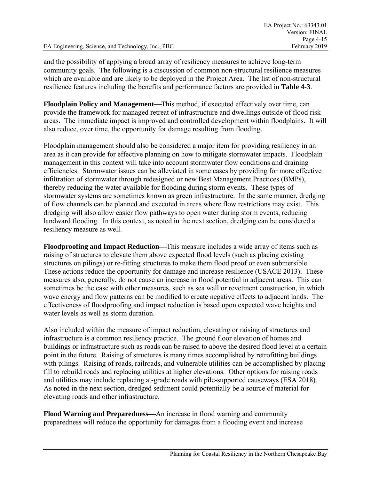and the possibility of applying a broad array of resiliency measures to achieve long-term community goals. The following is a discussion of common non-structural resilience measures which are available and are likely to be deployed in the Project Area. The list of non-structural resilience features including the benefits and performance factors are provided in **Table 4-3**.

**Floodplain Policy and Management—This method, if executed effectively over time, can** provide the framework for managed retreat of infrastructure and dwellings outside of flood risk areas. The immediate impact is improved and controlled development within floodplains. It will also reduce, over time, the opportunity for damage resulting from flooding.

Floodplain management should also be considered a major item for providing resiliency in an area as it can provide for effective planning on how to mitigate stormwater impacts. Floodplain management in this context will take into account stormwater flow conditions and draining efficiencies. Stormwater issues can be alleviated in some cases by providing for more effective infiltration of stormwater through redesigned or new Best Management Practices (BMPs), thereby reducing the water available for flooding during storm events. These types of stormwater systems are sometimes known as green infrastructure. In the same manner, dredging of flow channels can be planned and executed in areas where flow restrictions may exist. This dredging will also allow easier flow pathways to open water during storm events, reducing landward flooding. In this context, as noted in the next section, dredging can be considered a resiliency measure as well.

**Floodproofing and Impact Reduction—This measure includes a wide array of items such as** raising of structures to elevate them above expected flood levels (such as placing existing structures on pilings) or re-fitting structures to make them flood proof or even submersible. These actions reduce the opportunity for damage and increase resilience (USACE 2013). These measures also, generally, do not cause an increase in flood potential in adjacent areas. This can sometimes be the case with other measures, such as sea wall or revetment construction, in which wave energy and flow patterns can be modified to create negative effects to adjacent lands. The effectiveness of floodproofing and impact reduction is based upon expected wave heights and water levels as well as storm duration.

Also included within the measure of impact reduction, elevating or raising of structures and infrastructure is a common resiliency practice. The ground floor elevation of homes and buildings or infrastructure such as roads can be raised to above the desired flood level at a certain point in the future. Raising of structures is many times accomplished by retrofitting buildings with pilings. Raising of roads, railroads, and vulnerable utilities can be accomplished by placing fill to rebuild roads and replacing utilities at higher elevations. Other options for raising roads and utilities may include replacing at-grade roads with pile-supported causeways (ESA 2018). As noted in the next section, dredged sediment could potentially be a source of material for elevating roads and other infrastructure.

**Flood Warning and Preparedness**—An increase in flood warning and community preparedness will reduce the opportunity for damages from a flooding event and increase